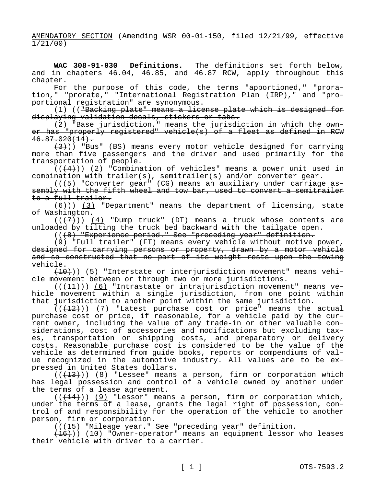AMENDATORY SECTION (Amending WSR 00-01-150, filed 12/21/99, effective 1/21/00)

**WAC 308-91-030 Definitions.** The definitions set forth below, and in chapters 46.04, 46.85, and 46.87 RCW, apply throughout this chapter.

For the purpose of this code, the terms "apportioned," "proration," "prorate," "International Registration Plan (IRP)," and "proportional registration" are synonymous.

(1) (("Backing plate" means a license plate which is designed for displaying validation decals, stickers or tabs.

(2) "Base jurisdiction," means the jurisdiction in which the owner has "properly registered" vehicle(s) of a fleet as defined in RCW  $46.87.020(14)$ .

 $(3)$ )) "Bus" (BS) means every motor vehicle designed for carrying more than five passengers and the driver and used primarily for the transportation of people.

 $((+4))$  (2) "Combination of vehicles" means a power unit used in combination with trailer(s), semitrailer(s) and/or converter gear.

(((5) "Converter gear" (CG) means an auxiliary under carriage assembly with the fifth wheel and tow bar, used to convert a semitrailer to a full trailer.

 $(6)$ )) (3) "Department" means the department of licensing, state of Washington.

 $((+7))$  (4) "Dump truck" (DT) means a truck whose contents are unloaded by tilting the truck bed backward with the tailgate open.

(((8) "Experience period." See "preceding year" definition.

(9) "Full trailer" (FT) means every vehicle without motive power, designed for carrying persons or property, drawn by a motor vehicle and so constructed that no part of its weight rests upon the towing vehicle.

(10))) (5) "Interstate or interjurisdiction movement" means vehicle movement between or through two or more jurisdictions.

 $((+11))$  (6) "Intrastate or intrajurisdiction movement" means vehicle movement within a single jurisdiction, from one point within that jurisdiction to another point within the same jurisdiction.

 $((+12))$  (7) "Latest purchase cost or price" means the actual purchase cost or price, if reasonable, for a vehicle paid by the current owner, including the value of any trade-in or other valuable considerations, cost of accessories and modifications but excluding taxes, transportation or shipping costs, and preparatory or delivery costs. Reasonable purchase cost is considered to be the value of the vehicle as determined from guide books, reports or compendiums of value recognized in the automotive industry. All values are to be expressed in United States dollars.

 $((+13))$  (8) "Lessee" means a person, firm or corporation which has legal possession and control of a vehicle owned by another under the terms of a lease agreement.

 $((+14))$  (9) "Lessor" means a person, firm or corporation which, under the terms of a lease, grants the legal right of possession, control of and responsibility for the operation of the vehicle to another person, firm or corporation.

(((15) "Mileage year." See "preceding year" definition.

(16))) (10) "Owner-operator" means an equipment lessor who leases their vehicle with driver to a carrier.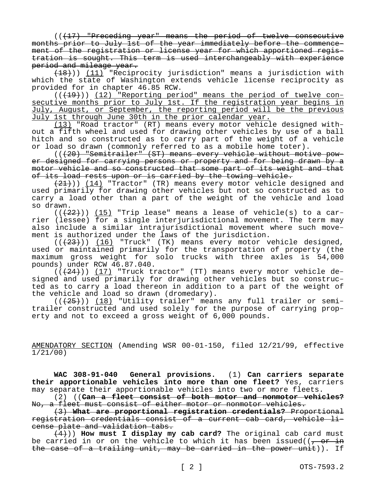(( $\{17\}$  "Preceding year" means the period of twelve consecutive months prior to July 1st of the year immediately before the commencement of the registration or license year for which apportioned registration is sought. This term is used interchangeably with experience period and mileage year.

(18))) (11) "Reciprocity jurisdiction" means a jurisdiction with which the state of Washington extends vehicle license reciprocity as provided for in chapter 46.85 RCW.

 $((+19))$  (12) "Reporting period" means the period of twelve consecutive months prior to July 1st. If the registration year begins in July, August, or September, the reporting period will be the previous July 1st through June 30th in the prior calendar year.

(13) "Road tractor" (RT) means every motor vehicle designed without a fifth wheel and used for drawing other vehicles by use of a ball hitch and so constructed as to carry part of the weight of a vehicle or load so drawn (commonly referred to as a mobile home toter).

(((20) "Semitrailer" (ST) means every vehicle without motive power designed for carrying persons or property and for being drawn by a motor vehicle and so constructed that some part of its weight and that of its load rests upon or is carried by the towing vehicle.

 $(21)$ ) (14) "Tractor" (TR) means every motor vehicle designed and used primarily for drawing other vehicles but not so constructed as to carry a load other than a part of the weight of the vehicle and load so drawn.

 $((+22))$   $(15)$  "Trip lease" means a lease of vehicle(s) to a carrier (lessee) for a single interjurisdictional movement. The term may also include a similar intrajurisdictional movement where such movement is authorized under the laws of the jurisdiction.

 $((+23))$   $(16)$  "Truck" (TK) means every motor vehicle designed, used or maintained primarily for the transportation of property (the maximum gross weight for solo trucks with three axles is 54,000 pounds) under RCW 46.87.040.

 $((+24))$   $(17)$  "Truck tractor" (TT) means every motor vehicle designed and used primarily for drawing other vehicles but so constructed as to carry a load thereon in addition to a part of the weight of the vehicle and load so drawn (dromedary).

 $((+25))$  (18) "Utility trailer" means any full trailer or semitrailer constructed and used solely for the purpose of carrying property and not to exceed a gross weight of 6,000 pounds.

AMENDATORY SECTION (Amending WSR 00-01-150, filed 12/21/99, effective 1/21/00)

**WAC 308-91-040 General provisions.** (1) **Can carriers separate their apportionable vehicles into more than one fleet?** Yes, carriers may separate their apportionable vehicles into two or more fleets.

(2) ((**Can a fleet consist of both motor and nonmotor vehicles?**  No, a fleet must consist of either motor or nonmotor vehicles.

(3) **What are proportional registration credentials?** Proportional registration credentials consist of a current cab card, vehicle license plate and validation tabs.

(4))) **How must I display my cab card?** The original cab card must be carried in or on the vehicle to which it has been issued( $\sqrt{2}$  or in the case of a trailing unit, may be carried in the power unit)). If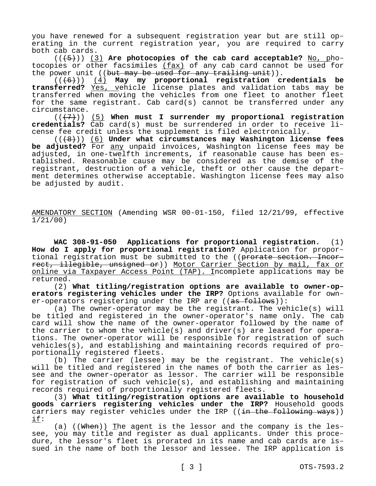you have renewed for a subsequent registration year but are still operating in the current registration year, you are required to carry both cab cards.

(((5))) (3) **Are photocopies of the cab card acceptable?** No, photocopies or other facsimiles (fax) of any cab card cannot be used for the power unit ((but may be used for any trailing unit)).

(((6))) (4) **May my proportional registration credentials be transferred?** Yes, vehicle license plates and validation tabs may be transferred when moving the vehicles from one fleet to another fleet for the same registrant. Cab card(s) cannot be transferred under any circumstance.

(((7))) (5) **When must I surrender my proportional registration credentials?** Cab card(s) must be surrendered in order to receive license fee credit unless the supplement is filed electronically.

(((8))) (6) **Under what circumstances may Washington license fees be adjusted?** For any unpaid invoices, Washington license fees may be adjusted, in one-twelfth increments, if reasonable cause has been established. Reasonable cause may be considered as the demise of the registrant, destruction of a vehicle, theft or other cause the department determines otherwise acceptable. Washington license fees may also be adjusted by audit.

AMENDATORY SECTION (Amending WSR 00-01-150, filed 12/21/99, effective 1/21/00)

**WAC 308-91-050 Applications for proportional registration.** (1) **How do I apply for proportional registration?** Application for proportional registration must be submitted to the ((prorate section. Incorrect, illegible, unsigned or)) Motor Carrier Section by mail, fax or online via Taxpayer Access Point (TAP). Incomplete applications may be returned.

(2) **What titling/registration options are available to owner-operators registering vehicles under the IRP?** Options available for owner-operators registering under the IRP are ((as follows)):

(a) The owner-operator may be the registrant. The vehicle(s) will be titled and registered in the owner-operator's name only. The cab card will show the name of the owner-operator followed by the name of the carrier to whom the vehicle(s) and driver(s) are leased for operations. The owner-operator will be responsible for registration of such vehicles(s), and establishing and maintaining records required of proportionally registered fleets.

(b) The carrier (lessee) may be the registrant. The vehicle(s) will be titled and registered in the names of both the carrier as lessee and the owner-operator as lessor. The carrier will be responsible for registration of such vehicle(s), and establishing and maintaining records required of proportionally registered fleets.

(3) **What titling/registration options are available to household goods carriers registering vehicles under the IRP?** Household goods carriers may register vehicles under the IRP ((in the following ways)) if:

(a)  $((\text{When}))$  The agent is the lessor and the company is the lessee, you may title and register as dual applicants. Under this procedure, the lessor's fleet is prorated in its name and cab cards are issued in the name of both the lessor and lessee. The IRP application is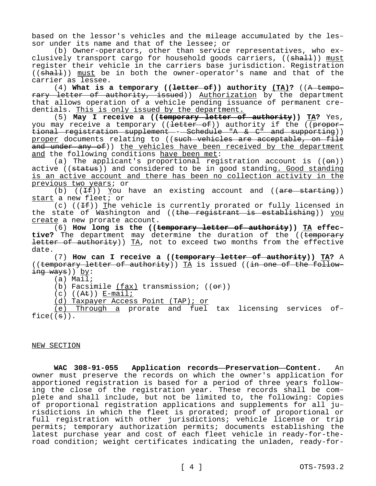based on the lessor's vehicles and the mileage accumulated by the lessor under its name and that of the lessee; or

(b) Owner-operators, other than service representatives, who exclusively transport cargo for household goods carriers, ((shall)) must register their vehicle in the carriers base jurisdiction. Registration  $((shalt))$  must be in both the owner-operator's name and that of the carrier as lessee.

(4) **What is a temporary ((letter of)) authority (TA)?** ((A temporary letter of authority, issued)) Authorization by the department that allows operation of a vehicle pending issuance of permanent credentials. This is only issued by the department.

(5) **May I receive a ((temporary letter of authority)) TA?** Yes, you may receive a temporary ((<del>letter of</del>)) authority if the ((proportional registration supplement -- Schedule "A & C" and supporting)) proper documents relating to ((such vehicles are acceptable, on file and under any of)) the vehicles have been received by the department and the following conditions have been met:

(a) The applicant's proportional registration account is  $((\Theta n))$ active ((status)) and considered to be in good standing. Good standing is an active account and there has been no collection activity in the previous two years; or

(b)  $((If))$  You have an existing account and  $((are starting))$ start a new fleet; or

(c) ( $(If)$ ) The vehicle is currently prorated or fully licensed in the state of Washington and ((the registrant is establishing)) you create a new prorate account.

(6) **How long is the ((temporary letter of authority)) TA effec**tive? The department may determine the duration of the ((temporary letter of authority)) TA, not to exceed two months from the effective date.

(7) **How can I receive a ((temporary letter of authority)) TA?** A ((temporary letter of authority)) TA is issued ((in one of the following ways)) by:

(a) Mail;

(b) Facsimile (fax) transmission;  $((\theta \cdot \hat{r}))$ 

 $(c)$   $((A<sup>t</sup>))$  E-mail;

(d) Taxpayer Access Point (TAP); or

(e) Through a prorate and fuel tax licensing services of $face((\theta))$ .

NEW SECTION

**WAC 308-91-055 Application records—Preservation—Content.** An owner must preserve the records on which the owner's application for apportioned registration is based for a period of three years following the close of the registration year. These records shall be complete and shall include, but not be limited to, the following: Copies of proportional registration applications and supplements for all jurisdictions in which the fleet is prorated; proof of proportional or full registration with other jurisdictions; vehicle license or trip permits; temporary authorization permits; documents establishing the latest purchase year and cost of each fleet vehicle in ready-for-theroad condition; weight certificates indicating the unladen, ready-for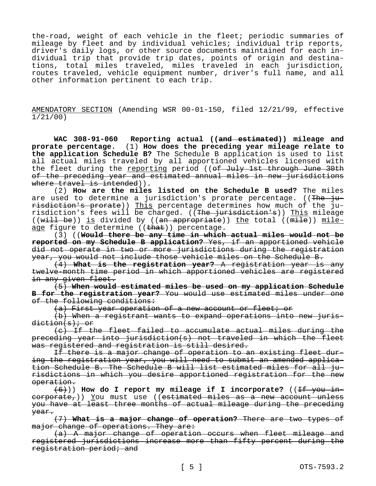the-road, weight of each vehicle in the fleet; periodic summaries of mileage by fleet and by individual vehicles; individual trip reports, driver's daily logs, or other source documents maintained for each individual trip that provide trip dates, points of origin and destinations, total miles traveled, miles traveled in each jurisdiction, routes traveled, vehicle equipment number, driver's full name, and all other information pertinent to each trip.

AMENDATORY SECTION (Amending WSR 00-01-150, filed 12/21/99, effective 1/21/00)

**WAC 308-91-060 Reporting actual ((and estimated)) mileage and prorate percentage.** (1) **How does the preceding year mileage relate to the application Schedule B?** The Schedule B application is used to list all actual miles traveled by all apportioned vehicles licensed with the fleet during the reporting period ((of July 1st through June 30th of the preceding year and estimated annual miles in new jurisdictions where travel is intended)).

(2) **How are the miles listed on the Schedule B used?** The miles are used to determine a jurisdiction's prorate percentage. ((The jurisdiction's prorate)) This percentage determines how much of the jurisdiction's fees will be charged. ((The jurisdiction's)) This mileage ((will be)) is divided by ((an appropriate)) the total (( $\overline{mile}$ )) mileage figure to determine  $((\text{that}))$  percentage.

(3) ((**Would there be any time in which actual miles would not be reported on my Schedule B application?** Yes, if an apportioned vehicle did not operate in two or more jurisdictions during the registration year, you would not include those vehicle miles on the Schedule B.

(4) **What is the registration year?** A registration year is any twelve-month time period in which apportioned vehicles are registered in any given fleet.

(5) **When would estimated miles be used on my application Schedule B for the registration year?** You would use estimated miles under one of the following conditions:

(a) First year operation of a new account or fleet; or

(b) When a registrant wants to expand operations into new juris $diction(s)$ ; or

(c) If the fleet failed to accumulate actual miles during the preceding year into jurisdiction(s) not traveled in which the fleet was registered and registration is still desired.

If there is a major change of operation to an existing fleet during the registration year, you will need to submit an amended application Schedule B. The Schedule B will list estimated miles for all jurisdictions in which you desire apportioned registration for the new operation.

(6))) **How do I report my mileage if I incorporate?** ((If you in $corporte<sub>t</sub>)$ ) You must use ((estimated miles as a new account unless you have at least three months of actual mileage during the preceding year.

(7) **What is a major change of operation?** There are two types of major change of operations. They are:

(a) A major change of operation occurs when fleet mileage and registered jurisdictions increase more than fifty percent during the registration period; and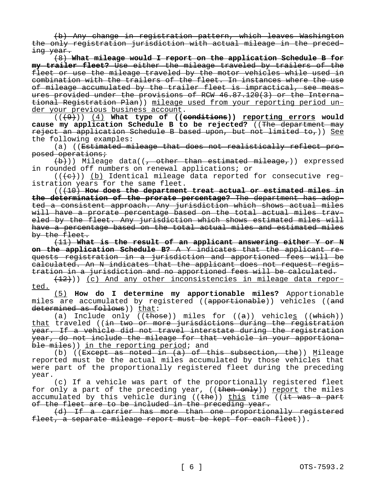(b) Any change in registration pattern, which leaves Washington the only registration jurisdiction with actual mileage in the preceding year.

(8) **What mileage would I report on the application Schedule B for my trailer fleet?** Use either the mileage traveled by trailers of the fleet or use the mileage traveled by the motor vehicles while used in combination with the trailers of the fleet. In instances where the use of mileage accumulated by the trailer fleet is impractical, see measures provided under the provisions of RCW 46.87.120(3) or the International Registration Plan)) mileage used from your reporting period under your previous business account.

(((9))) (4) **What type of ((conditions)) reporting errors would cause my application Schedule B to be rejected?** ((The department may reject an application Schedule B based upon, but not limited to,)) See the following examples:

(a) ((Estimated mileage that does not realistically reflect proposed operations;

 $(b)$ )) Mileage data((<del>, other than estimated mileage,</del>)) expressed in rounded off numbers on renewal applications; or

 $((+e))$  (b) Identical mileage data reported for consecutive registration years for the same fleet.

(((10) **How does the department treat actual or estimated miles in the determination of the prorate percentage?** The department has adopted a consistent approach. Any jurisdiction which shows actual miles will have a prorate percentage based on the total actual miles traveled by the fleet. Any jurisdiction which shows estimated miles will have a percentage based on the total actual miles and estimated miles by the fleet.

(11) **What is the result of an applicant answering either Y or N on the application Schedule B?** A Y indicates that the applicant requests registration in a jurisdiction and apportioned fees will be calculated. An N indicates that the applicant does not request registration in a jurisdiction and no apportioned fees will be calculated.

 $(12)$ )) (c) And any other inconsistencies in mileage data reported.

(5) **How do I determine my apportionable miles?** Apportionable miles are accumulated by registered ((apportionable)) vehicles ((and determined as follows)) that:

(a) Include only (( $t$ hose)) miles for ( $(a)$ ) vehicles (( $which$ )) that traveled ((in two or more jurisdictions during the registration year. If a vehicle did not travel interstate during the registration year, do not include the mileage for that vehicle in your apportionable miles)) in the reporting period; and

(b) (( $\overline{Except}$  as noted in  $(a)$  of this subsection, the)) Mileage reported must be the actual miles accumulated by those vehicles that were part of the proportionally registered fleet during the preceding year.

(c) If a vehicle was part of the proportionally registered fleet for only a part of the preceding year,  $((then only)$  report the miles accumulated by this vehicle during (( $\theta$ )) this time (( $\theta$ ) the a part of the fleet are to be included in the preceding year.

(d) If a carrier has more than one proportionally registered fleet, a separate mileage report must be kept for each fleet)).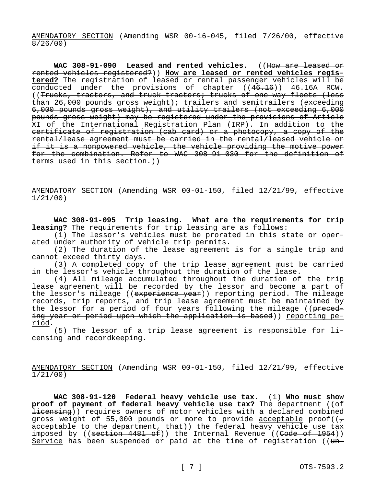AMENDATORY SECTION (Amending WSR 00-16-045, filed 7/26/00, effective 8/26/00)

**WAC 308-91-090 Leased and rented vehicles.** ((How are leased or rented vehicles registered?)) **How are leased or rented vehicles registered?** The registration of leased or rental passenger vehicles will be conducted under the provisions of chapter ((46.16)) 46.16A RCW. ((Trucks, tractors, and truck-tractors; trucks of one-way fleets (less than 26,000 pounds gross weight); trailers and semitrailers (exceeding 6,000 pounds gross weight), and utility trailers (not exceeding 6,000 pounds gross weight) may be registered under the provisions of Article XI of the International Registration Plan (IRP). In addition to the certificate of registration (cab card) or a photocopy, a copy of the rental/lease agreement must be carried in the rental/leased vehicle or if it is a nonpowered vehicle, the vehicle providing the motive power for the combination. Refer to WAC 308-91-030 for the definition of terms used in this section.))

AMENDATORY SECTION (Amending WSR 00-01-150, filed 12/21/99, effective 1/21/00)

**WAC 308-91-095 Trip leasing. What are the requirements for trip leasing?** The requirements for trip leasing are as follows:

(1) The lessor's vehicles must be prorated in this state or operated under authority of vehicle trip permits.

(2) The duration of the lease agreement is for a single trip and cannot exceed thirty days.

(3) A completed copy of the trip lease agreement must be carried in the lessor's vehicle throughout the duration of the lease.

(4) All mileage accumulated throughout the duration of the trip lease agreement will be recorded by the lessor and become a part of the lessor's mileage ((experience year)) reporting period. The mileage records, trip reports, and trip lease agreement must be maintained by the lessor for a period of four years following the mileage ((preceding year or period upon which the application is based)) reporting period.

(5) The lessor of a trip lease agreement is responsible for licensing and recordkeeping.

AMENDATORY SECTION (Amending WSR 00-01-150, filed 12/21/99, effective 1/21/00)

**WAC 308-91-120 Federal heavy vehicle use tax.** (1) **Who must show proof of payment of federal heavy vehicle use tax?** The department (( $\theta$ f licensing)) requires owners of motor vehicles with a declared combined gross weight of 55,000 pounds or more to provide acceptable proof( $\sqrt{\tau}$ ) acceptable to the department, that)) the federal heavy vehicle use tax imposed by ((section  $4481$  of)) the Internal Revenue ((Code of 1954)) Service has been suspended or paid at the time of registration (( $u_n$ -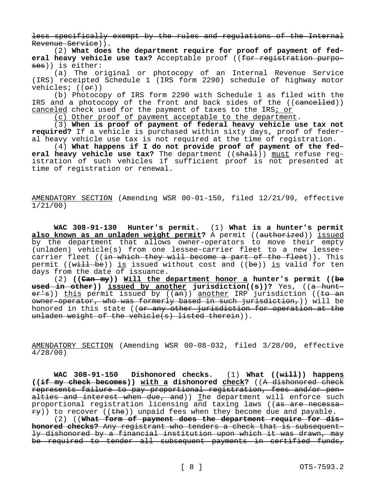less specifically exempt by the rules and regulations of the Internal Revenue Service)).

(2) **What does the department require for proof of payment of federal heavy vehicle use tax?** Acceptable proof ((for registration purposes)) is either:

(a) The original or photocopy of an Internal Revenue Service (IRS) receipted Schedule 1 (IRS form 2290) schedule of highway motor vehicles;  $((e^{\frac{r}{c}}))^2$ 

(b) Photocopy of IRS form 2290 with Schedule 1 as filed with the IRS and a photocopy of the front and back sides of the ((cancelled)) canceled check used for the payment of taxes to the IRS; or

(c) Other proof of payment acceptable to the department.

(3) **When is proof of payment of federal heavy vehicle use tax not required?** If a vehicle is purchased within sixty days, proof of federal heavy vehicle use tax is not required at the time of registration.

(4) **What happens if I do not provide proof of payment of the federal heavy vehicle use tax?** The department ((shall)) must refuse registration of such vehicles if sufficient proof is not presented at time of registration or renewal.

AMENDATORY SECTION (Amending WSR 00-01-150, filed 12/21/99, effective 1/21/00)

**WAC 308-91-130 Hunter's permit.** (1) **What is a hunter's permit**  also known as an unladen weight permit? A permit ((authorized)) issued by the department that allows owner-operators to move their empty (unladen) vehicle(s) from one lessee-carrier fleet to a new lesseecarrier fleet ((in which they will become a part of the fleet)). This permit (( $w$ ill be)) is issued without cost and (( $be$ )) is valid for ten days from the date of issuance.

(2) **((Can my)) Will the department honor a hunter's permit ((be used in other)) issued by another jurisdiction((s))?** Yes, ((a hunt $er's$ )) this permit issued by  $((an))$  another IRP jurisdiction ((to an owner-operator, who was formerly based in such jurisdiction,)) will be honored in this state ((or any other jurisdiction for operation at the unladen weight of the vehicle(s) listed therein)).

AMENDATORY SECTION (Amending WSR 00-08-032, filed 3/28/00, effective 4/28/00)

**WAC 308-91-150 Dishonored checks.** (1) **What ((will)) happens ((if my check becomes)) with a dishonored check?** ((A dishonored check represents failure to pay proportional registration, fees and/or penalties and interest when due, and)) The department will enforce such proportional registration licensing and taxing laws ((as are necessa $f(x)$ ) to recover ((the)) unpaid fees when they become due and payable.

(2) ((**What form of payment does the department require for dishonored checks?** Any registrant who tenders a check that is subsequently dishonored by a financial institution upon which it was drawn, may be required to tender all subsequent payments in certified funds,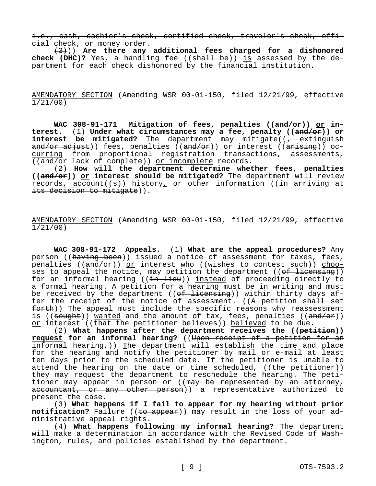i.e., cash, cashier's check, certified check, traveler's check, official check, or money order.

(3))) **Are there any additional fees charged for a dishonored check (DHC)?** Yes, a handling fee ((shall be)) is assessed by the department for each check dishonored by the financial institution.

AMENDATORY SECTION (Amending WSR 00-01-150, filed 12/21/99, effective 1/21/00)

**WAC 308-91-171 Mitigation of fees, penalties ((and/or)) or interest.** (1) **Under what circumstances may a fee, penalty ((and/or)) or interest be mitigated?** The department may mitigate((<del>, extinguish</del> a<del>nd/or adjust</del>)) fees, penalties ((<del>and/or</del>)) <u>or</u> interest ((<del>arising</del>)) <u>oc-</u> curring from proportional registration transactions, assessments, ((and/or lack of complete)) or incomplete records.

(2) **How will the department determine whether fees, penalties ((and/or)) or interest should be mitigated?** The department will review records, account( $(\theta)$ ) history, or other information ( $(\theta + \theta)$ ) at its decision to mitigate)).

AMENDATORY SECTION (Amending WSR 00-01-150, filed 12/21/99, effective 1/21/00)

**WAC 308-91-172 Appeals.** (1) **What are the appeal procedures?** Any person ((having been)) issued a notice of assessment for taxes, fees, penalties ( $(\text{and}/\text{or})$ ) or interest who ((wishes to contest such)) chooses to appeal the notice, may petition the department ((<del>of licensing</del>)) for an informal hearing ((<del>in lieu</del>)) <u>instead</u> of proceeding directly to a formal hearing. A petition for a hearing must be in writing and must be received by the department (( $ef$  licensing)) within thirty days after the receipt of the notice of assessment. ((A petition shall set forth)) The appeal must include the specific reasons why reassessment is (( $\frac{30u}{\pi}$ )) wanted and the amount of tax, fees, penalties (( $\frac{30u}{\pi}$ )) or interest ((that the petitioner believes)) believed to be due.

(2) **What happens after the department receives the ((petition)) request for an informal hearing?** ((Upon receipt of a petition for an informal hearing,)) The department will establish the time and place for the hearing and notify the petitioner by mail <u>or e-mail</u> at least ten days prior to the scheduled date. If the petitioner is unable to attend the hearing on the date or time scheduled, ((the petitioner)) they may request the department to reschedule the hearing. The petitioner may appear in person or ((may be represented by an attorney, accountant, or any other person)) a representative authorized to present the case.

(3) **What happens if I fail to appear for my hearing without prior**  notification? Failure ((to appear)) may result in the loss of your administrative appeal rights.

(4) **What happens following my informal hearing?** The department will make a determination in accordance with the Revised Code of Washington, rules, and policies established by the department.